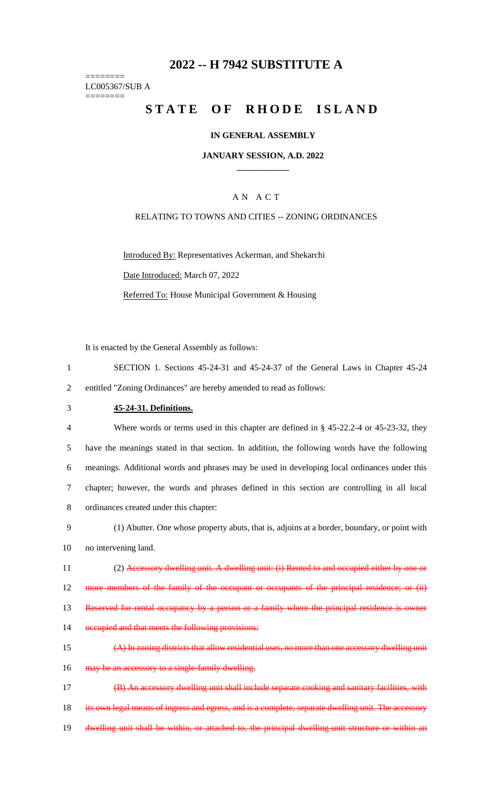# **2022 -- H 7942 SUBSTITUTE A**

======== LC005367/SUB A ========

# **STATE OF RHODE ISLAND**

## **IN GENERAL ASSEMBLY**

**JANUARY SESSION, A.D. 2022 \_\_\_\_\_\_\_\_\_\_\_\_**

## A N A C T

## RELATING TO TOWNS AND CITIES -- ZONING ORDINANCES

Introduced By: Representatives Ackerman, and Shekarchi Date Introduced: March 07, 2022 Referred To: House Municipal Government & Housing

It is enacted by the General Assembly as follows:

- 1 SECTION 1. Sections 45-24-31 and 45-24-37 of the General Laws in Chapter 45-24 2 entitled "Zoning Ordinances" are hereby amended to read as follows:
- 3 **45-24-31. Definitions.**

 Where words or terms used in this chapter are defined in § 45-22.2-4 or 45-23-32, they have the meanings stated in that section. In addition, the following words have the following meanings. Additional words and phrases may be used in developing local ordinances under this chapter; however, the words and phrases defined in this section are controlling in all local ordinances created under this chapter:

- 9 (1) Abutter. One whose property abuts, that is, adjoins at a border, boundary, or point with 10 no intervening land.
- 11 (2) Accessory dwelling unit. A dwelling unit: (i) Rented to and occupied either by one or 12 more members of the family of the occupant or occupants of the principal residence; or (ii) 13 Reserved for rental occupancy by a person or a family where the principal residence is owner
- 14 occupied and that meets the following provisions:
- 15 (A) In zoning districts that allow residential uses, no more than one accessory dwelling unit 16 may be an accessory to a single-family dwelling.

17 (B) An accessory dwelling unit shall include separate cooking and sanitary facilities, with 18 its own legal means of ingress and egress, and is a complete, separate dwelling unit. The accessory 19 dwelling unit shall be within, or attached to, the principal dwelling unit structure or within an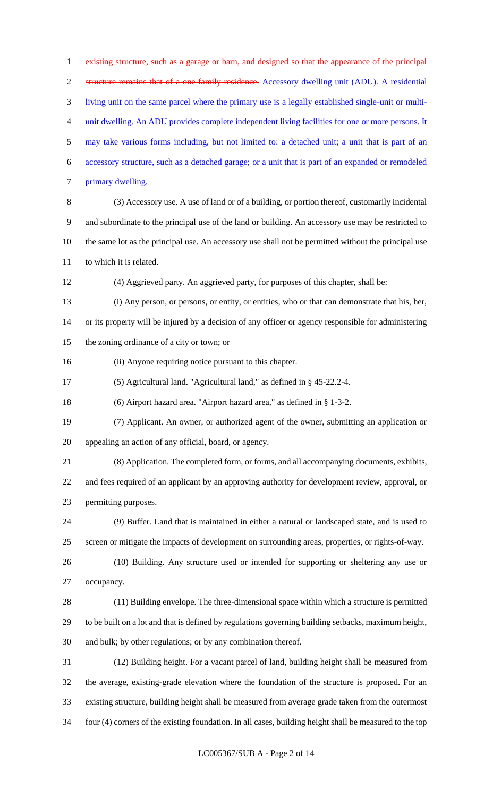existing structure, such as a garage or barn, and designed so that the appearance of the principal structure remains that of a one-family residence. Accessory dwelling unit (ADU). A residential living unit on the same parcel where the primary use is a legally established single-unit or multi- unit dwelling. An ADU provides complete independent living facilities for one or more persons. It may take various forms including, but not limited to: a detached unit; a unit that is part of an accessory structure, such as a detached garage; or a unit that is part of an expanded or remodeled primary dwelling. (3) Accessory use. A use of land or of a building, or portion thereof, customarily incidental and subordinate to the principal use of the land or building. An accessory use may be restricted to the same lot as the principal use. An accessory use shall not be permitted without the principal use to which it is related. (4) Aggrieved party. An aggrieved party, for purposes of this chapter, shall be: (i) Any person, or persons, or entity, or entities, who or that can demonstrate that his, her, or its property will be injured by a decision of any officer or agency responsible for administering the zoning ordinance of a city or town; or (ii) Anyone requiring notice pursuant to this chapter. (5) Agricultural land. "Agricultural land," as defined in § 45-22.2-4. (6) Airport hazard area. "Airport hazard area," as defined in § 1-3-2. (7) Applicant. An owner, or authorized agent of the owner, submitting an application or appealing an action of any official, board, or agency. (8) Application. The completed form, or forms, and all accompanying documents, exhibits, and fees required of an applicant by an approving authority for development review, approval, or permitting purposes. (9) Buffer. Land that is maintained in either a natural or landscaped state, and is used to screen or mitigate the impacts of development on surrounding areas, properties, or rights-of-way. (10) Building. Any structure used or intended for supporting or sheltering any use or occupancy. (11) Building envelope. The three-dimensional space within which a structure is permitted to be built on a lot and that is defined by regulations governing building setbacks, maximum height, and bulk; by other regulations; or by any combination thereof. (12) Building height. For a vacant parcel of land, building height shall be measured from the average, existing-grade elevation where the foundation of the structure is proposed. For an existing structure, building height shall be measured from average grade taken from the outermost four (4) corners of the existing foundation. In all cases, building height shall be measured to the top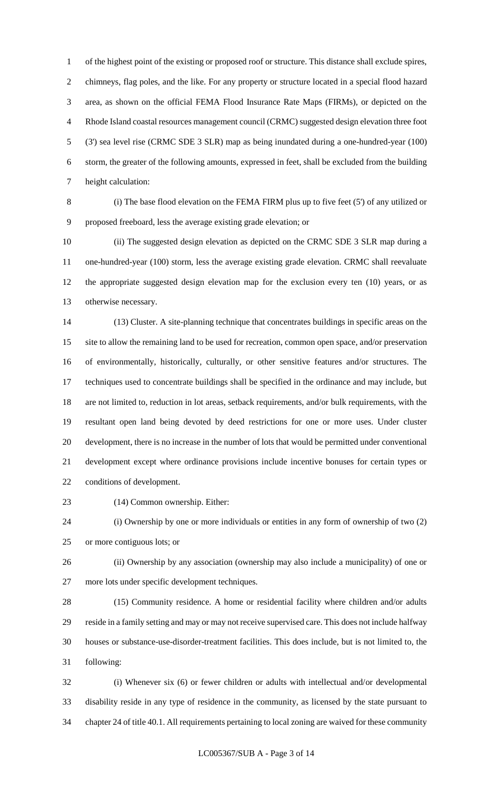of the highest point of the existing or proposed roof or structure. This distance shall exclude spires, chimneys, flag poles, and the like. For any property or structure located in a special flood hazard area, as shown on the official FEMA Flood Insurance Rate Maps (FIRMs), or depicted on the Rhode Island coastal resources management council (CRMC) suggested design elevation three foot (3') sea level rise (CRMC SDE 3 SLR) map as being inundated during a one-hundred-year (100) storm, the greater of the following amounts, expressed in feet, shall be excluded from the building height calculation:

 (i) The base flood elevation on the FEMA FIRM plus up to five feet (5') of any utilized or proposed freeboard, less the average existing grade elevation; or

 (ii) The suggested design elevation as depicted on the CRMC SDE 3 SLR map during a one-hundred-year (100) storm, less the average existing grade elevation. CRMC shall reevaluate the appropriate suggested design elevation map for the exclusion every ten (10) years, or as otherwise necessary.

 (13) Cluster. A site-planning technique that concentrates buildings in specific areas on the site to allow the remaining land to be used for recreation, common open space, and/or preservation of environmentally, historically, culturally, or other sensitive features and/or structures. The techniques used to concentrate buildings shall be specified in the ordinance and may include, but are not limited to, reduction in lot areas, setback requirements, and/or bulk requirements, with the resultant open land being devoted by deed restrictions for one or more uses. Under cluster development, there is no increase in the number of lots that would be permitted under conventional development except where ordinance provisions include incentive bonuses for certain types or conditions of development.

(14) Common ownership. Either:

 (i) Ownership by one or more individuals or entities in any form of ownership of two (2) or more contiguous lots; or

 (ii) Ownership by any association (ownership may also include a municipality) of one or more lots under specific development techniques.

28 (15) Community residence. A home or residential facility where children and/or adults reside in a family setting and may or may not receive supervised care. This does not include halfway houses or substance-use-disorder-treatment facilities. This does include, but is not limited to, the following:

 (i) Whenever six (6) or fewer children or adults with intellectual and/or developmental disability reside in any type of residence in the community, as licensed by the state pursuant to chapter 24 of title 40.1. All requirements pertaining to local zoning are waived for these community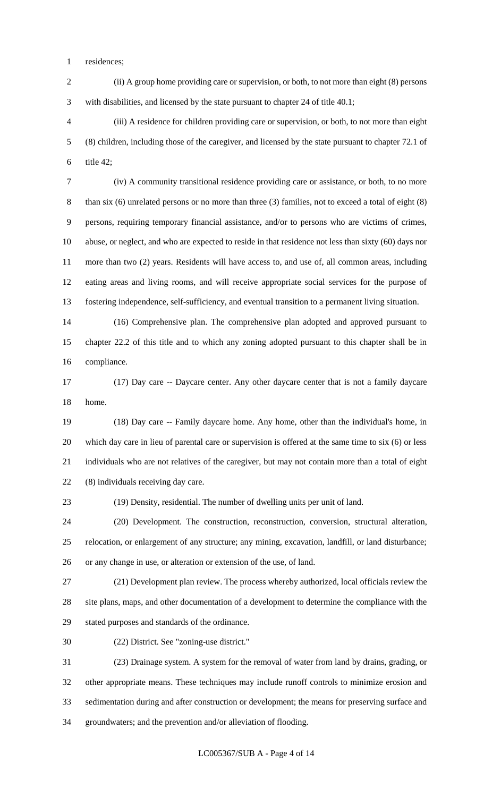residences;

 (ii) A group home providing care or supervision, or both, to not more than eight (8) persons with disabilities, and licensed by the state pursuant to chapter 24 of title 40.1;

 (iii) A residence for children providing care or supervision, or both, to not more than eight (8) children, including those of the caregiver, and licensed by the state pursuant to chapter 72.1 of title 42;

 (iv) A community transitional residence providing care or assistance, or both, to no more than six (6) unrelated persons or no more than three (3) families, not to exceed a total of eight (8) persons, requiring temporary financial assistance, and/or to persons who are victims of crimes, abuse, or neglect, and who are expected to reside in that residence not less than sixty (60) days nor more than two (2) years. Residents will have access to, and use of, all common areas, including eating areas and living rooms, and will receive appropriate social services for the purpose of fostering independence, self-sufficiency, and eventual transition to a permanent living situation.

 (16) Comprehensive plan. The comprehensive plan adopted and approved pursuant to chapter 22.2 of this title and to which any zoning adopted pursuant to this chapter shall be in compliance.

 (17) Day care -- Daycare center. Any other daycare center that is not a family daycare home.

 (18) Day care -- Family daycare home. Any home, other than the individual's home, in which day care in lieu of parental care or supervision is offered at the same time to six (6) or less individuals who are not relatives of the caregiver, but may not contain more than a total of eight (8) individuals receiving day care.

(19) Density, residential. The number of dwelling units per unit of land.

 (20) Development. The construction, reconstruction, conversion, structural alteration, relocation, or enlargement of any structure; any mining, excavation, landfill, or land disturbance; or any change in use, or alteration or extension of the use, of land.

 (21) Development plan review. The process whereby authorized, local officials review the site plans, maps, and other documentation of a development to determine the compliance with the stated purposes and standards of the ordinance.

(22) District. See "zoning-use district."

 (23) Drainage system. A system for the removal of water from land by drains, grading, or other appropriate means. These techniques may include runoff controls to minimize erosion and sedimentation during and after construction or development; the means for preserving surface and groundwaters; and the prevention and/or alleviation of flooding.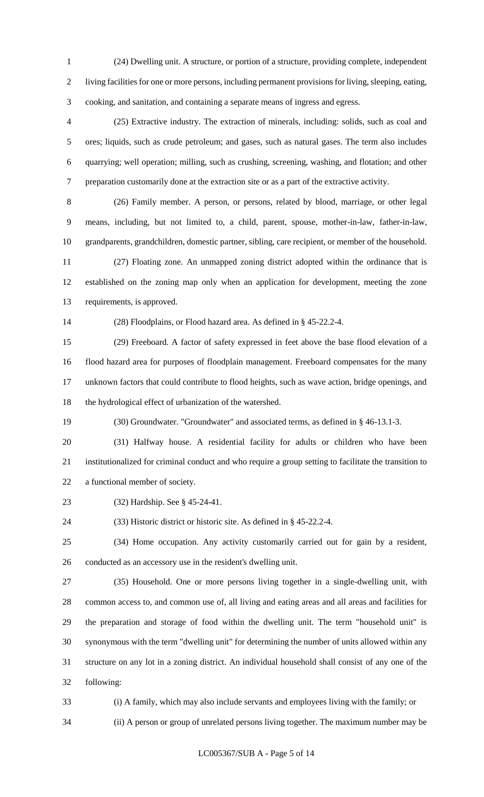(24) Dwelling unit. A structure, or portion of a structure, providing complete, independent living facilities for one or more persons, including permanent provisions for living, sleeping, eating, cooking, and sanitation, and containing a separate means of ingress and egress.

 (25) Extractive industry. The extraction of minerals, including: solids, such as coal and ores; liquids, such as crude petroleum; and gases, such as natural gases. The term also includes quarrying; well operation; milling, such as crushing, screening, washing, and flotation; and other preparation customarily done at the extraction site or as a part of the extractive activity.

 (26) Family member. A person, or persons, related by blood, marriage, or other legal means, including, but not limited to, a child, parent, spouse, mother-in-law, father-in-law, grandparents, grandchildren, domestic partner, sibling, care recipient, or member of the household.

 (27) Floating zone. An unmapped zoning district adopted within the ordinance that is established on the zoning map only when an application for development, meeting the zone requirements, is approved.

(28) Floodplains, or Flood hazard area. As defined in § 45-22.2-4.

 (29) Freeboard. A factor of safety expressed in feet above the base flood elevation of a flood hazard area for purposes of floodplain management. Freeboard compensates for the many unknown factors that could contribute to flood heights, such as wave action, bridge openings, and the hydrological effect of urbanization of the watershed.

(30) Groundwater. "Groundwater" and associated terms, as defined in § 46-13.1-3.

 (31) Halfway house. A residential facility for adults or children who have been institutionalized for criminal conduct and who require a group setting to facilitate the transition to a functional member of society.

(32) Hardship. See § 45-24-41.

(33) Historic district or historic site. As defined in § 45-22.2-4.

 (34) Home occupation. Any activity customarily carried out for gain by a resident, conducted as an accessory use in the resident's dwelling unit.

 (35) Household. One or more persons living together in a single-dwelling unit, with common access to, and common use of, all living and eating areas and all areas and facilities for the preparation and storage of food within the dwelling unit. The term "household unit" is synonymous with the term "dwelling unit" for determining the number of units allowed within any structure on any lot in a zoning district. An individual household shall consist of any one of the following:

(i) A family, which may also include servants and employees living with the family; or

(ii) A person or group of unrelated persons living together. The maximum number may be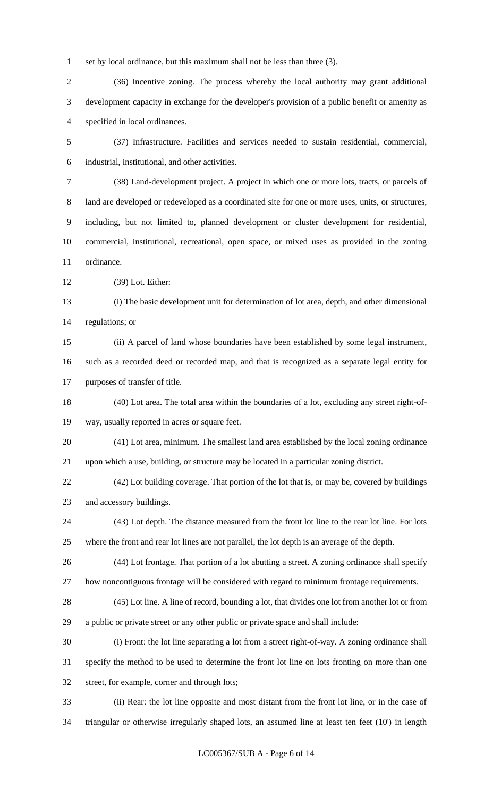set by local ordinance, but this maximum shall not be less than three (3).

 (36) Incentive zoning. The process whereby the local authority may grant additional development capacity in exchange for the developer's provision of a public benefit or amenity as specified in local ordinances.

 (37) Infrastructure. Facilities and services needed to sustain residential, commercial, industrial, institutional, and other activities.

 (38) Land-development project. A project in which one or more lots, tracts, or parcels of land are developed or redeveloped as a coordinated site for one or more uses, units, or structures, including, but not limited to, planned development or cluster development for residential, commercial, institutional, recreational, open space, or mixed uses as provided in the zoning ordinance.

(39) Lot. Either:

 (i) The basic development unit for determination of lot area, depth, and other dimensional regulations; or

 (ii) A parcel of land whose boundaries have been established by some legal instrument, such as a recorded deed or recorded map, and that is recognized as a separate legal entity for purposes of transfer of title.

 (40) Lot area. The total area within the boundaries of a lot, excluding any street right-of-way, usually reported in acres or square feet.

 (41) Lot area, minimum. The smallest land area established by the local zoning ordinance upon which a use, building, or structure may be located in a particular zoning district.

 (42) Lot building coverage. That portion of the lot that is, or may be, covered by buildings and accessory buildings.

 (43) Lot depth. The distance measured from the front lot line to the rear lot line. For lots where the front and rear lot lines are not parallel, the lot depth is an average of the depth.

 (44) Lot frontage. That portion of a lot abutting a street. A zoning ordinance shall specify how noncontiguous frontage will be considered with regard to minimum frontage requirements.

 (45) Lot line. A line of record, bounding a lot, that divides one lot from another lot or from a public or private street or any other public or private space and shall include:

 (i) Front: the lot line separating a lot from a street right-of-way. A zoning ordinance shall specify the method to be used to determine the front lot line on lots fronting on more than one street, for example, corner and through lots;

 (ii) Rear: the lot line opposite and most distant from the front lot line, or in the case of triangular or otherwise irregularly shaped lots, an assumed line at least ten feet (10') in length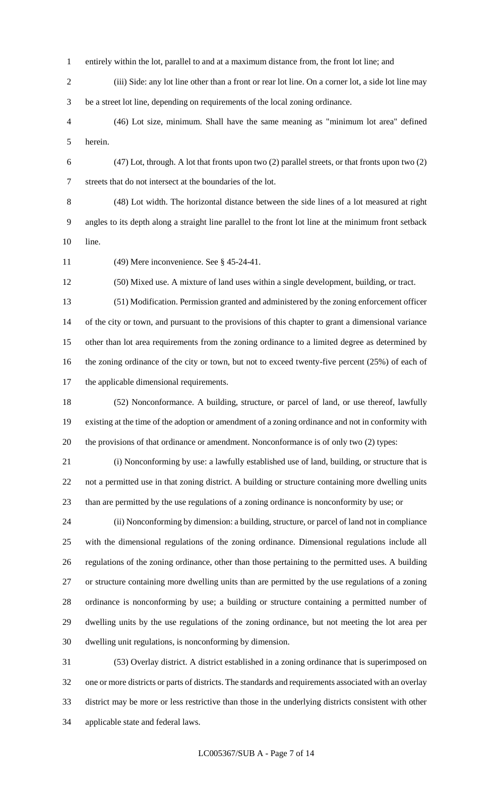- entirely within the lot, parallel to and at a maximum distance from, the front lot line; and
- (iii) Side: any lot line other than a front or rear lot line. On a corner lot, a side lot line may be a street lot line, depending on requirements of the local zoning ordinance.
- (46) Lot size, minimum. Shall have the same meaning as "minimum lot area" defined herein.
- (47) Lot, through. A lot that fronts upon two (2) parallel streets, or that fronts upon two (2) streets that do not intersect at the boundaries of the lot.
	- (48) Lot width. The horizontal distance between the side lines of a lot measured at right angles to its depth along a straight line parallel to the front lot line at the minimum front setback line.
	- (49) Mere inconvenience. See § 45-24-41.

(50) Mixed use. A mixture of land uses within a single development, building, or tract.

 (51) Modification. Permission granted and administered by the zoning enforcement officer of the city or town, and pursuant to the provisions of this chapter to grant a dimensional variance other than lot area requirements from the zoning ordinance to a limited degree as determined by 16 the zoning ordinance of the city or town, but not to exceed twenty-five percent (25%) of each of the applicable dimensional requirements.

 (52) Nonconformance. A building, structure, or parcel of land, or use thereof, lawfully existing at the time of the adoption or amendment of a zoning ordinance and not in conformity with the provisions of that ordinance or amendment. Nonconformance is of only two (2) types:

 (i) Nonconforming by use: a lawfully established use of land, building, or structure that is not a permitted use in that zoning district. A building or structure containing more dwelling units than are permitted by the use regulations of a zoning ordinance is nonconformity by use; or

 (ii) Nonconforming by dimension: a building, structure, or parcel of land not in compliance with the dimensional regulations of the zoning ordinance. Dimensional regulations include all regulations of the zoning ordinance, other than those pertaining to the permitted uses. A building or structure containing more dwelling units than are permitted by the use regulations of a zoning ordinance is nonconforming by use; a building or structure containing a permitted number of dwelling units by the use regulations of the zoning ordinance, but not meeting the lot area per dwelling unit regulations, is nonconforming by dimension.

 (53) Overlay district. A district established in a zoning ordinance that is superimposed on one or more districts or parts of districts. The standards and requirements associated with an overlay district may be more or less restrictive than those in the underlying districts consistent with other applicable state and federal laws.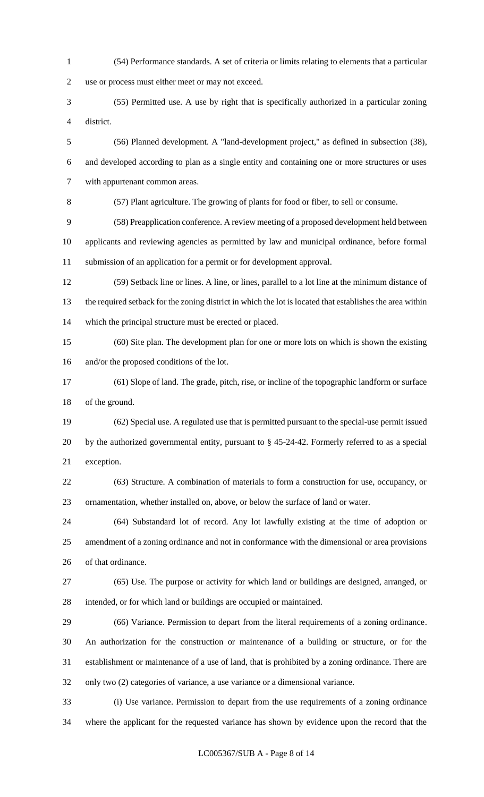(54) Performance standards. A set of criteria or limits relating to elements that a particular use or process must either meet or may not exceed. (55) Permitted use. A use by right that is specifically authorized in a particular zoning district. (56) Planned development. A "land-development project," as defined in subsection (38), and developed according to plan as a single entity and containing one or more structures or uses with appurtenant common areas. (57) Plant agriculture. The growing of plants for food or fiber, to sell or consume. (58) Preapplication conference. A review meeting of a proposed development held between applicants and reviewing agencies as permitted by law and municipal ordinance, before formal submission of an application for a permit or for development approval. (59) Setback line or lines. A line, or lines, parallel to a lot line at the minimum distance of the required setback for the zoning district in which the lot is located that establishes the area within which the principal structure must be erected or placed. (60) Site plan. The development plan for one or more lots on which is shown the existing and/or the proposed conditions of the lot. (61) Slope of land. The grade, pitch, rise, or incline of the topographic landform or surface of the ground. (62) Special use. A regulated use that is permitted pursuant to the special-use permit issued by the authorized governmental entity, pursuant to § 45-24-42. Formerly referred to as a special exception. (63) Structure. A combination of materials to form a construction for use, occupancy, or ornamentation, whether installed on, above, or below the surface of land or water. (64) Substandard lot of record. Any lot lawfully existing at the time of adoption or amendment of a zoning ordinance and not in conformance with the dimensional or area provisions of that ordinance. (65) Use. The purpose or activity for which land or buildings are designed, arranged, or intended, or for which land or buildings are occupied or maintained. (66) Variance. Permission to depart from the literal requirements of a zoning ordinance. An authorization for the construction or maintenance of a building or structure, or for the establishment or maintenance of a use of land, that is prohibited by a zoning ordinance. There are only two (2) categories of variance, a use variance or a dimensional variance. (i) Use variance. Permission to depart from the use requirements of a zoning ordinance

where the applicant for the requested variance has shown by evidence upon the record that the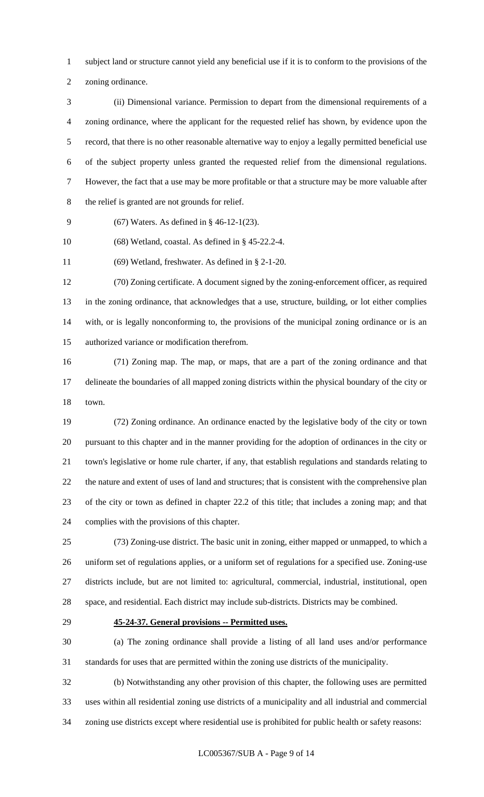subject land or structure cannot yield any beneficial use if it is to conform to the provisions of the

zoning ordinance.

 (ii) Dimensional variance. Permission to depart from the dimensional requirements of a zoning ordinance, where the applicant for the requested relief has shown, by evidence upon the record, that there is no other reasonable alternative way to enjoy a legally permitted beneficial use of the subject property unless granted the requested relief from the dimensional regulations. However, the fact that a use may be more profitable or that a structure may be more valuable after the relief is granted are not grounds for relief.

(67) Waters. As defined in § 46-12-1(23).

(68) Wetland, coastal. As defined in § 45-22.2-4.

(69) Wetland, freshwater. As defined in § 2-1-20.

 (70) Zoning certificate. A document signed by the zoning-enforcement officer, as required in the zoning ordinance, that acknowledges that a use, structure, building, or lot either complies with, or is legally nonconforming to, the provisions of the municipal zoning ordinance or is an authorized variance or modification therefrom.

 (71) Zoning map. The map, or maps, that are a part of the zoning ordinance and that delineate the boundaries of all mapped zoning districts within the physical boundary of the city or town.

 (72) Zoning ordinance. An ordinance enacted by the legislative body of the city or town pursuant to this chapter and in the manner providing for the adoption of ordinances in the city or town's legislative or home rule charter, if any, that establish regulations and standards relating to the nature and extent of uses of land and structures; that is consistent with the comprehensive plan of the city or town as defined in chapter 22.2 of this title; that includes a zoning map; and that complies with the provisions of this chapter.

 (73) Zoning-use district. The basic unit in zoning, either mapped or unmapped, to which a uniform set of regulations applies, or a uniform set of regulations for a specified use. Zoning-use districts include, but are not limited to: agricultural, commercial, industrial, institutional, open space, and residential. Each district may include sub-districts. Districts may be combined.

### **45-24-37. General provisions -- Permitted uses.**

 (a) The zoning ordinance shall provide a listing of all land uses and/or performance standards for uses that are permitted within the zoning use districts of the municipality.

 (b) Notwithstanding any other provision of this chapter, the following uses are permitted uses within all residential zoning use districts of a municipality and all industrial and commercial zoning use districts except where residential use is prohibited for public health or safety reasons: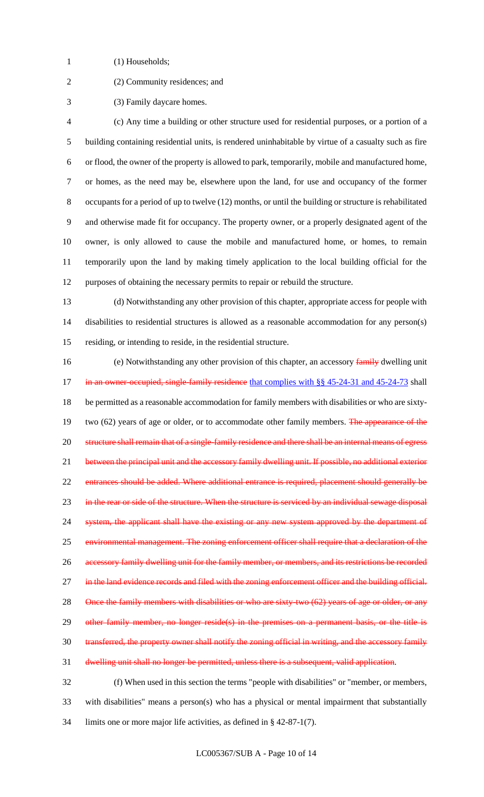- 1 (1) Households;
- 
- (2) Community residences; and
- (3) Family daycare homes.

 (c) Any time a building or other structure used for residential purposes, or a portion of a building containing residential units, is rendered uninhabitable by virtue of a casualty such as fire or flood, the owner of the property is allowed to park, temporarily, mobile and manufactured home, or homes, as the need may be, elsewhere upon the land, for use and occupancy of the former occupants for a period of up to twelve (12) months, or until the building or structure is rehabilitated and otherwise made fit for occupancy. The property owner, or a properly designated agent of the owner, is only allowed to cause the mobile and manufactured home, or homes, to remain temporarily upon the land by making timely application to the local building official for the purposes of obtaining the necessary permits to repair or rebuild the structure.

 (d) Notwithstanding any other provision of this chapter, appropriate access for people with disabilities to residential structures is allowed as a reasonable accommodation for any person(s) residing, or intending to reside, in the residential structure.

16 (e) Notwithstanding any other provision of this chapter, an accessory family dwelling unit 17 in an owner-occupied, single-family residence that complies with §§ 45-24-31 and 45-24-73 shall be permitted as a reasonable accommodation for family members with disabilities or who are sixty-19 two (62) years of age or older, or to accommodate other family members. The appearance of the 20 structure shall remain that of a single-family residence and there shall be an internal means of egress 21 between the principal unit and the accessory family dwelling unit. If possible, no additional exterior 22 entrances should be added. Where additional entrance is required, placement should generally be 23 in the rear or side of the structure. When the structure is serviced by an individual sewage disposal system, the applicant shall have the existing or any new system approved by the department of 25 environmental management. The zoning enforcement officer shall require that a declaration of the accessory family dwelling unit for the family member, or members, and its restrictions be recorded 27 in the land evidence records and filed with the zoning enforcement officer and the building official. 28 Once the family members with disabilities or who are sixty-two (62) years of age or older, or any 29 other family member, no longer reside(s) in the premises on a permanent basis, or the title is transferred, the property owner shall notify the zoning official in writing, and the accessory family dwelling unit shall no longer be permitted, unless there is a subsequent, valid application.

 (f) When used in this section the terms "people with disabilities" or "member, or members, with disabilities" means a person(s) who has a physical or mental impairment that substantially limits one or more major life activities, as defined in § 42-87-1(7).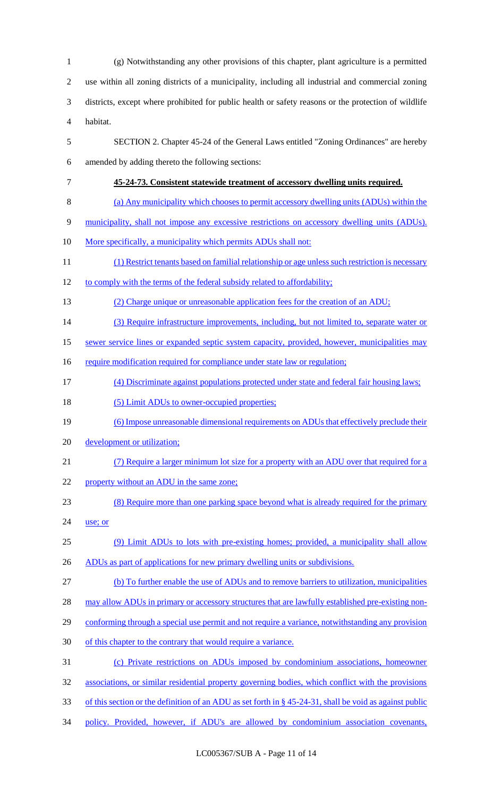(g) Notwithstanding any other provisions of this chapter, plant agriculture is a permitted use within all zoning districts of a municipality, including all industrial and commercial zoning districts, except where prohibited for public health or safety reasons or the protection of wildlife habitat. SECTION 2. Chapter 45-24 of the General Laws entitled "Zoning Ordinances" are hereby amended by adding thereto the following sections: **45-24-73. Consistent statewide treatment of accessory dwelling units required.** (a) Any municipality which chooses to permit accessory dwelling units (ADUs) within the municipality, shall not impose any excessive restrictions on accessory dwelling units (ADUs). 10 More specifically, a municipality which permits ADUs shall not: (1) Restrict tenants based on familial relationship or age unless such restriction is necessary 12 to comply with the terms of the federal subsidy related to affordability; 13 (2) Charge unique or unreasonable application fees for the creation of an ADU; 14 (3) Require infrastructure improvements, including, but not limited to, separate water or sewer service lines or expanded septic system capacity, provided, however, municipalities may 16 require modification required for compliance under state law or regulation; (4) Discriminate against populations protected under state and federal fair housing laws; 18 (5) Limit ADUs to owner-occupied properties; (6) Impose unreasonable dimensional requirements on ADUs that effectively preclude their 20 development or utilization; (7) Require a larger minimum lot size for a property with an ADU over that required for a 22 property without an ADU in the same zone; (8) Require more than one parking space beyond what is already required for the primary use; or (9) Limit ADUs to lots with pre-existing homes; provided, a municipality shall allow 26 ADUs as part of applications for new primary dwelling units or subdivisions. (b) To further enable the use of ADUs and to remove barriers to utilization, municipalities 28 may allow ADUs in primary or accessory structures that are lawfully established pre-existing non-29 conforming through a special use permit and not require a variance, notwithstanding any provision of this chapter to the contrary that would require a variance. (c) Private restrictions on ADUs imposed by condominium associations, homeowner associations, or similar residential property governing bodies, which conflict with the provisions of this section or the definition of an ADU as set forth in § 45-24-31, shall be void as against public policy. Provided, however, if ADU's are allowed by condominium association covenants,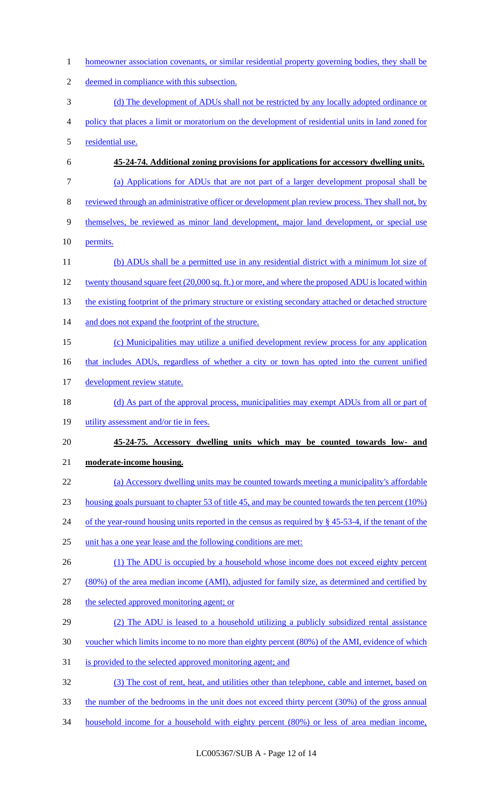1 homeowner association covenants, or similar residential property governing bodies, they shall be deemed in compliance with this subsection. (d) The development of ADUs shall not be restricted by any locally adopted ordinance or policy that places a limit or moratorium on the development of residential units in land zoned for residential use. **45-24-74. Additional zoning provisions for applications for accessory dwelling units.** (a) Applications for ADUs that are not part of a larger development proposal shall be reviewed through an administrative officer or development plan review process. They shall not, by themselves, be reviewed as minor land development, major land development, or special use 10 permits. 11 (b) ADUs shall be a permitted use in any residential district with a minimum lot size of twenty thousand square feet (20,000 sq. ft.) or more, and where the proposed ADU is located within 13 the existing footprint of the primary structure or existing secondary attached or detached structure 14 and does not expand the footprint of the structure. (c) Municipalities may utilize a unified development review process for any application 16 that includes ADUs, regardless of whether a city or town has opted into the current unified 17 development review statute. 18 (d) As part of the approval process, municipalities may exempt ADUs from all or part of 19 utility assessment and/or tie in fees. **45-24-75. Accessory dwelling units which may be counted towards low- and moderate-income housing.** (a) Accessory dwelling units may be counted towards meeting a municipality's affordable housing goals pursuant to chapter 53 of title 45, and may be counted towards the ten percent (10%) 24 of the year-round housing units reported in the census as required by § 45-53-4, if the tenant of the unit has a one year lease and the following conditions are met: (1) The ADU is occupied by a household whose income does not exceed eighty percent (80%) of the area median income (AMI), adjusted for family size, as determined and certified by 28 the selected approved monitoring agent; or (2) The ADU is leased to a household utilizing a publicly subsidized rental assistance voucher which limits income to no more than eighty percent (80%) of the AMI, evidence of which is provided to the selected approved monitoring agent; and (3) The cost of rent, heat, and utilities other than telephone, cable and internet, based on the number of the bedrooms in the unit does not exceed thirty percent (30%) of the gross annual household income for a household with eighty percent (80%) or less of area median income,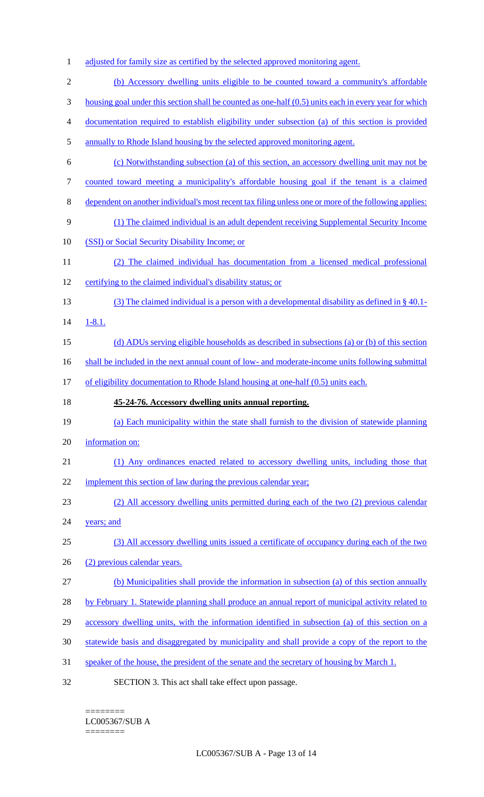1 adjusted for family size as certified by the selected approved monitoring agent. (b) Accessory dwelling units eligible to be counted toward a community's affordable housing goal under this section shall be counted as one-half (0.5) units each in every year for which documentation required to establish eligibility under subsection (a) of this section is provided annually to Rhode Island housing by the selected approved monitoring agent. (c) Notwithstanding subsection (a) of this section, an accessory dwelling unit may not be counted toward meeting a municipality's affordable housing goal if the tenant is a claimed dependent on another individual's most recent tax filing unless one or more of the following applies: (1) The claimed individual is an adult dependent receiving Supplemental Security Income (SSI) or Social Security Disability Income; or (2) The claimed individual has documentation from a licensed medical professional certifying to the claimed individual's disability status; or (3) The claimed individual is a person with a developmental disability as defined in § 40.1- 1-8.1. (d) ADUs serving eligible households as described in subsections (a) or (b) of this section 16 shall be included in the next annual count of low- and moderate-income units following submittal 17 of eligibility documentation to Rhode Island housing at one-half (0.5) units each. **45-24-76. Accessory dwelling units annual reporting.** (a) Each municipality within the state shall furnish to the division of statewide planning information on: (1) Any ordinances enacted related to accessory dwelling units, including those that 22 implement this section of law during the previous calendar year; (2) All accessory dwelling units permitted during each of the two (2) previous calendar 24 years; and (3) All accessory dwelling units issued a certificate of occupancy during each of the two (2) previous calendar years. (b) Municipalities shall provide the information in subsection (a) of this section annually 28 by February 1. Statewide planning shall produce an annual report of municipal activity related to accessory dwelling units, with the information identified in subsection (a) of this section on a statewide basis and disaggregated by municipality and shall provide a copy of the report to the speaker of the house, the president of the senate and the secretary of housing by March 1. SECTION 3. This act shall take effect upon passage.

========

========

LC005367/SUB A